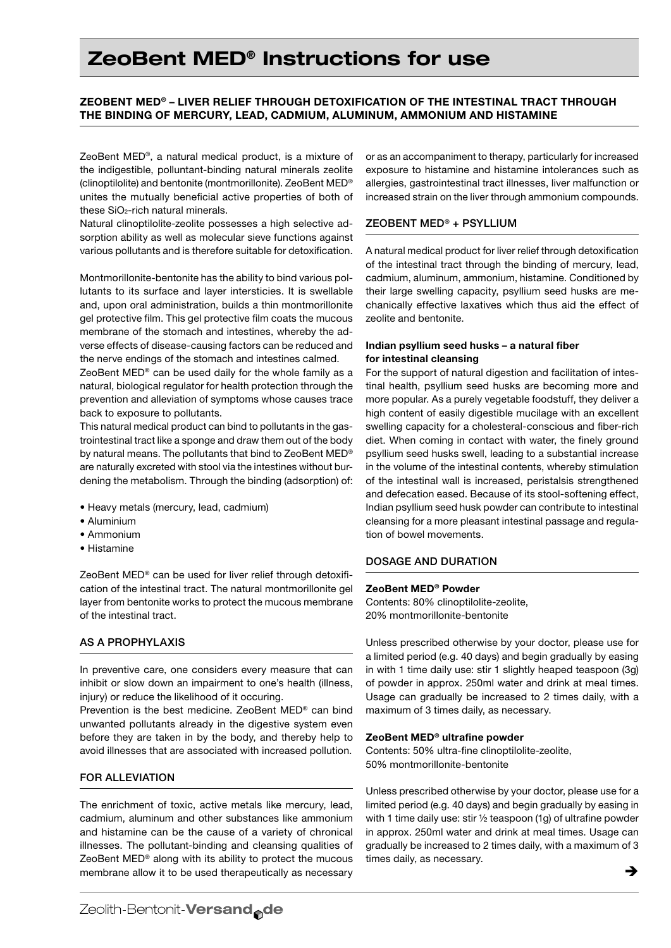# ZeoBent MED® Instructions for use

## ZeoBent MED® – liver relief through detoxification of the intestinal tract through the binding of mercury, lead, cadmium, aluminum, ammonium and histamine

ZeoBent MED®, a natural medical product, is a mixture of the indigestible, polluntant-binding natural minerals zeolite (clinoptilolite) and bentonite (montmorillonite). ZeoBent MED® unites the mutually beneficial active properties of both of these SiO2-rich natural minerals.

Natural clinoptilolite-zeolite possesses a high selective adsorption ability as well as molecular sieve functions against various pollutants and is therefore suitable for detoxification.

Montmorillonite-bentonite has the ability to bind various pollutants to its surface and layer intersticies. It is swellable and, upon oral administration, builds a thin montmorillonite gel protective film. This gel protective film coats the mucous membrane of the stomach and intestines, whereby the adverse effects of disease-causing factors can be reduced and the nerve endings of the stomach and intestines calmed.

ZeoBent MED® can be used daily for the whole family as a natural, biological regulator for health protection through the prevention and alleviation of symptoms whose causes trace back to exposure to pollutants.

This natural medical product can bind to pollutants in the gastrointestinal tract like a sponge and draw them out of the body by natural means. The pollutants that bind to ZeoBent MED® are naturally excreted with stool via the intestines without burdening the metabolism. Through the binding (adsorption) of:

- • Heavy metals (mercury, lead, cadmium)
- • Aluminium
- • Ammonium
- • Histamine

ZeoBent MED® can be used for liver relief through detoxification of the intestinal tract. The natural montmorillonite gel layer from bentonite works to protect the mucous membrane of the intestinal tract.

## As a prophylaxis

In preventive care, one considers every measure that can inhibit or slow down an impairment to one's health (illness, injury) or reduce the likelihood of it occuring.

Prevention is the best medicine. ZeoBent MED® can bind unwanted pollutants already in the digestive system even before they are taken in by the body, and thereby help to avoid illnesses that are associated with increased pollution.

#### For alleviation

The enrichment of toxic, active metals like mercury, lead, cadmium, aluminum and other substances like ammonium and histamine can be the cause of a variety of chronical illnesses. The pollutant-binding and cleansing qualities of ZeoBent MED® along with its ability to protect the mucous membrane allow it to be used therapeutically as necessary

or as an accompaniment to therapy, particularly for increased exposure to histamine and histamine intolerances such as allergies, gastrointestinal tract illnesses, liver malfunction or increased strain on the liver through ammonium compounds.

#### ZeoBent MED® + Psyllium

A natural medical product for liver relief through detoxification of the intestinal tract through the binding of mercury, lead, cadmium, aluminum, ammonium, histamine. Conditioned by their large swelling capacity, psyllium seed husks are mechanically effective laxatives which thus aid the effect of zeolite and bentonite.

## Indian psyllium seed husks – a natural fiber for intestinal cleansing

For the support of natural digestion and facilitation of intestinal health, psyllium seed husks are becoming more and more popular. As a purely vegetable foodstuff, they deliver a high content of easily digestible mucilage with an excellent swelling capacity for a cholesteral-conscious and fiber-rich diet. When coming in contact with water, the finely ground psyllium seed husks swell, leading to a substantial increase in the volume of the intestinal contents, whereby stimulation of the intestinal wall is increased, peristalsis strengthened and defecation eased. Because of its stool-softening effect, Indian psyllium seed husk powder can contribute to intestinal cleansing for a more pleasant intestinal passage and regulation of bowel movements.

#### Dosage and duration

## ZeoBent MED® Powder

Contents: 80% clinoptilolite-zeolite, 20% montmorillonite-bentonite

Unless prescribed otherwise by your doctor, please use for a limited period (e.g. 40 days) and begin gradually by easing in with 1 time daily use: stir 1 slightly heaped teaspoon (3g) of powder in approx. 250ml water and drink at meal times. Usage can gradually be increased to 2 times daily, with a maximum of 3 times daily, as necessary.

#### ZeoBent MED® ultrafine powder

Contents: 50% ultra-fine clinoptilolite-zeolite, 50% montmorillonite-bentonite

Unless prescribed otherwise by your doctor, please use for a limited period (e.g. 40 days) and begin gradually by easing in with 1 time daily use: stir ½ teaspoon (1g) of ultrafine powder in approx. 250ml water and drink at meal times. Usage can gradually be increased to 2 times daily, with a maximum of 3 times daily, as necessary.

è